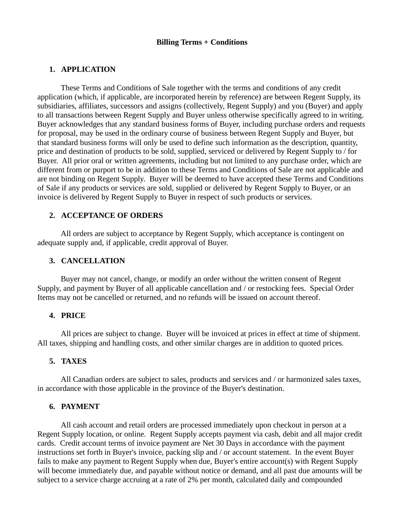## **Billing Terms + Conditions**

## **1. APPLICATION**

These Terms and Conditions of Sale together with the terms and conditions of any credit application (which, if applicable, are incorporated herein by reference) are between Regent Supply, its subsidiaries, affiliates, successors and assigns (collectively, Regent Supply) and you (Buyer) and apply to all transactions between Regent Supply and Buyer unless otherwise specifically agreed to in writing. Buyer acknowledges that any standard business forms of Buyer, including purchase orders and requests for proposal, may be used in the ordinary course of business between Regent Supply and Buyer, but that standard business forms will only be used to define such information as the description, quantity, price and destination of products to be sold, supplied, serviced or delivered by Regent Supply to / for Buyer. All prior oral or written agreements, including but not limited to any purchase order, which are different from or purport to be in addition to these Terms and Conditions of Sale are not applicable and are not binding on Regent Supply. Buyer will be deemed to have accepted these Terms and Conditions of Sale if any products or services are sold, supplied or delivered by Regent Supply to Buyer, or an invoice is delivered by Regent Supply to Buyer in respect of such products or services.

## **2. ACCEPTANCE OF ORDERS**

All orders are subject to acceptance by Regent Supply, which acceptance is contingent on adequate supply and, if applicable, credit approval of Buyer.

### **3. CANCELLATION**

Buyer may not cancel, change, or modify an order without the written consent of Regent Supply, and payment by Buyer of all applicable cancellation and / or restocking fees. Special Order Items may not be cancelled or returned, and no refunds will be issued on account thereof.

### **4. PRICE**

All prices are subject to change. Buyer will be invoiced at prices in effect at time of shipment. All taxes, shipping and handling costs, and other similar charges are in addition to quoted prices.

#### **5. TAXES**

All Canadian orders are subject to sales, products and services and / or harmonized sales taxes, in accordance with those applicable in the province of the Buyer's destination.

### **6. PAYMENT**

All cash account and retail orders are processed immediately upon checkout in person at a Regent Supply location, or online. Regent Supply accepts payment via cash, debit and all major credit cards. Credit account terms of invoice payment are Net 30 Days in accordance with the payment instructions set forth in Buyer's invoice, packing slip and / or account statement. In the event Buyer fails to make any payment to Regent Supply when due, Buyer's entire account(s) with Regent Supply will become immediately due, and payable without notice or demand, and all past due amounts will be subject to a service charge accruing at a rate of 2% per month, calculated daily and compounded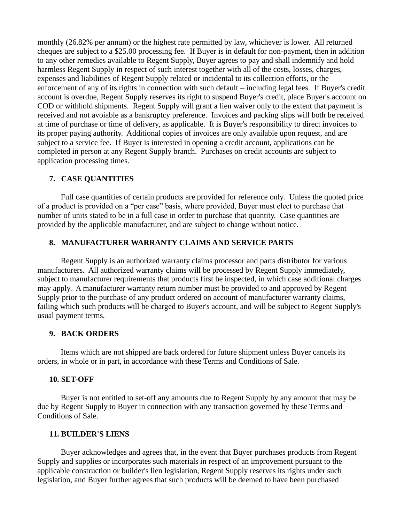monthly (26.82% per annum) or the highest rate permitted by law, whichever is lower. All returned cheques are subject to a \$25.00 processing fee. If Buyer is in default for non-payment, then in addition to any other remedies available to Regent Supply, Buyer agrees to pay and shall indemnify and hold harmless Regent Supply in respect of such interest together with all of the costs, losses, charges, expenses and liabilities of Regent Supply related or incidental to its collection efforts, or the enforcement of any of its rights in connection with such default – including legal fees. If Buyer's credit account is overdue, Regent Supply reserves its right to suspend Buyer's credit, place Buyer's account on COD or withhold shipments. Regent Supply will grant a lien waiver only to the extent that payment is received and not avoiable as a bankruptcy preference. Invoices and packing slips will both be received at time of purchase or time of delivery, as applicable. It is Buyer's responsibility to direct invoices to its proper paying authority. Additional copies of invoices are only available upon request, and are subject to a service fee. If Buyer is interested in opening a credit account, applications can be completed in person at any Regent Supply branch. Purchases on credit accounts are subject to application processing times.

## **7. CASE QUANTITIES**

Full case quantities of certain products are provided for reference only. Unless the quoted price of a product is provided on a "per case" basis, where provided, Buyer must elect to purchase that number of units stated to be in a full case in order to purchase that quantity. Case quantities are provided by the applicable manufacturer, and are subject to change without notice.

### **8. MANUFACTURER WARRANTY CLAIMS AND SERVICE PARTS**

Regent Supply is an authorized warranty claims processor and parts distributor for various manufacturers. All authorized warranty claims will be processed by Regent Supply immediately, subject to manufacturer requirements that products first be inspected, in which case additional charges may apply. A manufacturer warranty return number must be provided to and approved by Regent Supply prior to the purchase of any product ordered on account of manufacturer warranty claims, failing which such products will be charged to Buyer's account, and will be subject to Regent Supply's usual payment terms.

### **9. BACK ORDERS**

Items which are not shipped are back ordered for future shipment unless Buyer cancels its orders, in whole or in part, in accordance with these Terms and Conditions of Sale.

#### **10. SET-OFF**

Buyer is not entitled to set-off any amounts due to Regent Supply by any amount that may be due by Regent Supply to Buyer in connection with any transaction governed by these Terms and Conditions of Sale.

#### **11. BUILDER'S LIENS**

Buyer acknowledges and agrees that, in the event that Buyer purchases products from Regent Supply and supplies or incorporates such materials in respect of an improvement pursuant to the applicable construction or builder's lien legislation, Regent Supply reserves its rights under such legislation, and Buyer further agrees that such products will be deemed to have been purchased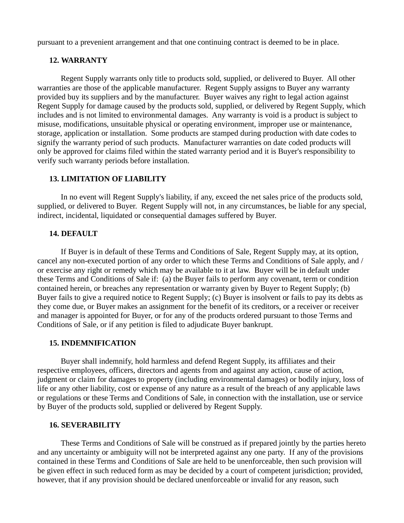pursuant to a prevenient arrangement and that one continuing contract is deemed to be in place.

## **12. WARRANTY**

Regent Supply warrants only title to products sold, supplied, or delivered to Buyer. All other warranties are those of the applicable manufacturer. Regent Supply assigns to Buyer any warranty provided buy its suppliers and by the manufacturer. Buyer waives any right to legal action against Regent Supply for damage caused by the products sold, supplied, or delivered by Regent Supply, which includes and is not limited to environmental damages. Any warranty is void is a product is subject to misuse, modifications, unsuitable physical or operating environment, improper use or maintenance, storage, application or installation. Some products are stamped during production with date codes to signify the warranty period of such products. Manufacturer warranties on date coded products will only be approved for claims filed within the stated warranty period and it is Buyer's responsibility to verify such warranty periods before installation.

# **13. LIMITATION OF LIABILITY**

In no event will Regent Supply's liability, if any, exceed the net sales price of the products sold, supplied, or delivered to Buyer. Regent Supply will not, in any circumstances, be liable for any special, indirect, incidental, liquidated or consequential damages suffered by Buyer.

### **14. DEFAULT**

If Buyer is in default of these Terms and Conditions of Sale, Regent Supply may, at its option, cancel any non-executed portion of any order to which these Terms and Conditions of Sale apply, and / or exercise any right or remedy which may be available to it at law. Buyer will be in default under these Terms and Conditions of Sale if: (a) the Buyer fails to perform any covenant, term or condition contained herein, or breaches any representation or warranty given by Buyer to Regent Supply; (b) Buyer fails to give a required notice to Regent Supply; (c) Buyer is insolvent or fails to pay its debts as they come due, or Buyer makes an assignment for the benefit of its creditors, or a receiver or receiver and manager is appointed for Buyer, or for any of the products ordered pursuant to those Terms and Conditions of Sale, or if any petition is filed to adjudicate Buyer bankrupt.

# **15. INDEMNIFICATION**

Buyer shall indemnify, hold harmless and defend Regent Supply, its affiliates and their respective employees, officers, directors and agents from and against any action, cause of action, judgment or claim for damages to property (including environmental damages) or bodily injury, loss of life or any other liability, cost or expense of any nature as a result of the breach of any applicable laws or regulations or these Terms and Conditions of Sale, in connection with the installation, use or service by Buyer of the products sold, supplied or delivered by Regent Supply.

# **16. SEVERABILITY**

These Terms and Conditions of Sale will be construed as if prepared jointly by the parties hereto and any uncertainty or ambiguity will not be interpreted against any one party. If any of the provisions contained in these Terms and Conditions of Sale are held to be unenforceable, then such provision will be given effect in such reduced form as may be decided by a court of competent jurisdiction; provided, however, that if any provision should be declared unenforceable or invalid for any reason, such